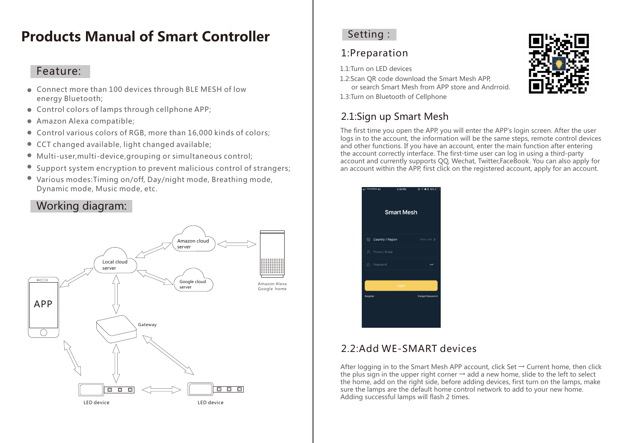# **Products Manual of Smart Controller**

#### Feature:

- Connect more than 100 devices through BLE MESH of low energy Bluetooth;
- Control colors of lamps through cellphone APP;
- Amazon Alexa compatible;
- Control various colors of RGB, more than 16,000 kinds of colors;
- CCT changed available, light changed available;  $\bullet$
- Multi-user,multi-device,grouping or simultaneous control;
- Support system encryption to prevent malicious control of strangers;
- Various modes:Timing on/off, Day/night mode, Breathing mode,  $\bullet$ Dynamic mode, Music mode, etc.

### Working diagram:



#### Setting:

## 1:Preparation

1.1:Turn on LED devices

1.2:Scan QR code download the Smart Mesh APP, or search Smart Mesh from APP store and Andrroid.

1.3:Turn on Bluetooth of Cellphone

# 2.1:Sign up Smart Mesh

The first time you open the APP, you will enter the APP's login screen. After the user logs in to the account, the information will be the same steps, remote control devices and other functions. If you have an account, enter the main function after entering the account correctly interface. The first-time user can log in using a third-party account and currently supports QQ, Wechat, Twitter,FaceBook. You can also apply for an account within the APP, first click on the registered account, apply for an account.



### 2.2:Add WE-SMART devices

After logging in to the Smart Mesh APP account, click Set  $\rightarrow$  Current home, then click the plus sign in the upper right corner  $\rightarrow$  add a new home, slide to the left to select the home, add on the right side, before adding devices, first turn on the lamps, make sure the lamps are the default home control network to add to your new home. Adding successful lamps will flash 2 times.